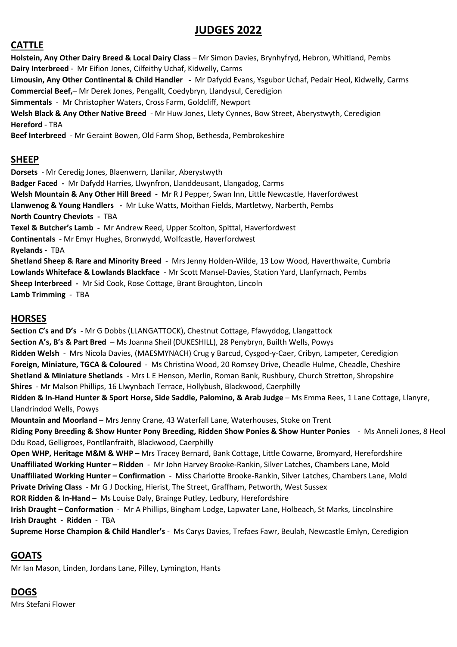# **JUDGES 2022**

#### **CATTLE**

**Holstein, Any Other Dairy Breed & Local Dairy Class** – Mr Simon Davies, Brynhyfryd, Hebron, Whitland, Pembs **Dairy Interbreed** - Mr Eifion Jones, Cilfeithy Uchaf, Kidwelly, Carms **Limousin, Any Other Continental & Child Handler -** Mr Dafydd Evans, Ysgubor Uchaf, Pedair Heol, Kidwelly, Carms **Commercial Beef,**– Mr Derek Jones, Pengallt, Coedybryn, Llandysul, Ceredigion **Simmentals** - Mr Christopher Waters, Cross Farm, Goldcliff, Newport **Welsh Black & Any Other Native Breed** - Mr Huw Jones, Llety Cynnes, Bow Street, Aberystwyth, Ceredigion **Hereford** - TBA **Beef Interbreed** - Mr Geraint Bowen, Old Farm Shop, Bethesda, Pembrokeshire **SHEEP Dorsets** - Mr Ceredig Jones, Blaenwern, Llanilar, Aberystwyth **Badger Faced -** Mr Dafydd Harries, Llwynfron, Llanddeusant, Llangadog, Carms **Welsh Mountain & Any Other Hill Breed -** Mr R J Pepper, Swan Inn, Little Newcastle, Haverfordwest **Llanwenog & Young Handlers -** Mr Luke Watts, Moithan Fields, Martletwy, Narberth, Pembs **North Country Cheviots -** TBA **Texel & Butcher's Lamb -** Mr Andrew Reed, Upper Scolton, Spittal, Haverfordwest

**Continentals** - Mr Emyr Hughes, Bronwydd, Wolfcastle, Haverfordwest

**Ryelands -** TBA

**Shetland Sheep & Rare and Minority Breed** - Mrs Jenny Holden-Wilde, 13 Low Wood, Haverthwaite, Cumbria **Lowlands Whiteface & Lowlands Blackface** - Mr Scott Mansel-Davies, Station Yard, Llanfyrnach, Pembs **Sheep Interbreed -** Mr Sid Cook, Rose Cottage, Brant Broughton, Lincoln **Lamb Trimming** - TBA

#### **HORSES**

**Section C's and D's** - Mr G Dobbs (LLANGATTOCK), Chestnut Cottage, Ffawyddog, Llangattock **Section A's, B's & Part Bred** – Ms Joanna Sheil (DUKESHILL), 28 Penybryn, Builth Wells, Powys **Ridden Welsh** - Mrs Nicola Davies, (MAESMYNACH) Crug y Barcud, Cysgod-y-Caer, Cribyn, Lampeter, Ceredigion **Foreign, Miniature, TGCA & Coloured** - Ms Christina Wood, 20 Romsey Drive, Cheadle Hulme, Cheadle, Cheshire **Shetland & Miniature Shetlands** - Mrs L E Henson, Merlin, Roman Bank, Rushbury, Church Stretton, Shropshire **Shires** - Mr Malson Phillips, 16 Llwynbach Terrace, Hollybush, Blackwood, Caerphilly Ridden & In-Hand Hunter & Sport Horse, Side Saddle, Palomino, & Arab Judge - Ms Emma Rees, 1 Lane Cottage, Llanyre, Llandrindod Wells, Powys **Mountain and Moorland** – Mrs Jenny Crane, 43 Waterfall Lane, Waterhouses, Stoke on Trent **Riding Pony Breeding & Show Hunter Pony Breeding, Ridden Show Ponies & Show Hunter Ponies** - Ms Anneli Jones, 8 Heol Ddu Road, Gelligroes, Pontllanfraith, Blackwood, Caerphilly **Open WHP, Heritage M&M & WHP** – Mrs Tracey Bernard, Bank Cottage, Little Cowarne, Bromyard, Herefordshire **Unaffiliated Working Hunter – Ridden** - Mr John Harvey Brooke-Rankin, Silver Latches, Chambers Lane, Mold **Unaffiliated Working Hunter – Confirmation** - Miss Charlotte Brooke-Rankin, Silver Latches, Chambers Lane, Mold **Private Driving Class** - Mr G J Docking, Hierist, The Street, Graffham, Petworth, West Sussex **ROR Ridden & In-Hand** – Ms Louise Daly, Brainge Putley, Ledbury, Herefordshire **Irish Draught – Conformation** - Mr A Phillips, Bingham Lodge, Lapwater Lane, Holbeach, St Marks, Lincolnshire **Irish Draught - Ridden** - TBA **Supreme Horse Champion & Child Handler's** - Ms Carys Davies, Trefaes Fawr, Beulah, Newcastle Emlyn, Ceredigion

#### **GOATS**

Mr Ian Mason, Linden, Jordans Lane, Pilley, Lymington, Hants

## **DOGS**

Mrs Stefani Flower